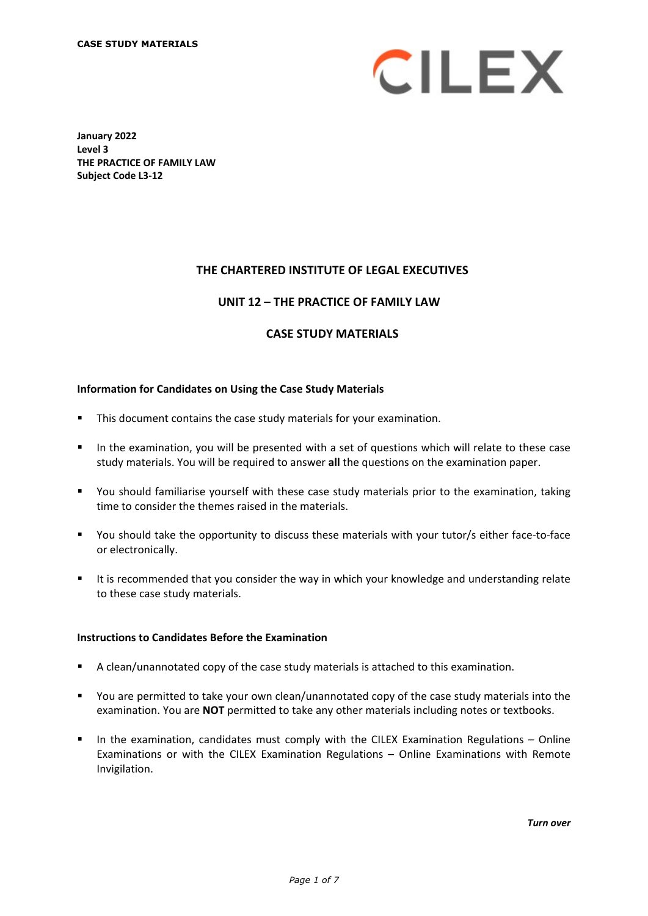

**January 2022 Level 3 THE PRACTICE OF FAMILY LAW Subject Code L3-12**

## **THE CHARTERED INSTITUTE OF LEGAL EXECUTIVES**

### **UNIT 12 – THE PRACTICE OF FAMILY LAW\***

### **CASE STUDY MATERIALS**

#### **Information for Candidates on Using the Case Study Materials**

- This document contains the case study materials for your examination.
- In the examination, you will be presented with a set of questions which will relate to these case study materials. You will be required to answer **all** the questions on the examination paper.
- You should familiarise yourself with these case study materials prior to the examination, taking time to consider the themes raised in the materials.
- You should take the opportunity to discuss these materials with your tutor/s either face-to-face or electronically.
- It is recommended that you consider the way in which your knowledge and understanding relate to these case study materials.

# **Instructions to Candidates Before the Examination**

- A clean/unannotated copy of the case study materials is attached to this examination.
- You are permitted to take your own clean/unannotated copy of the case study materials into the examination. You are **NOT** permitted to take any other materials including notes or textbooks.
- In the examination, candidates must comply with the CILEX Examination Regulations Online Examinations or with the CILEX Examination Regulations – Online Examinations with Remote Invigilation.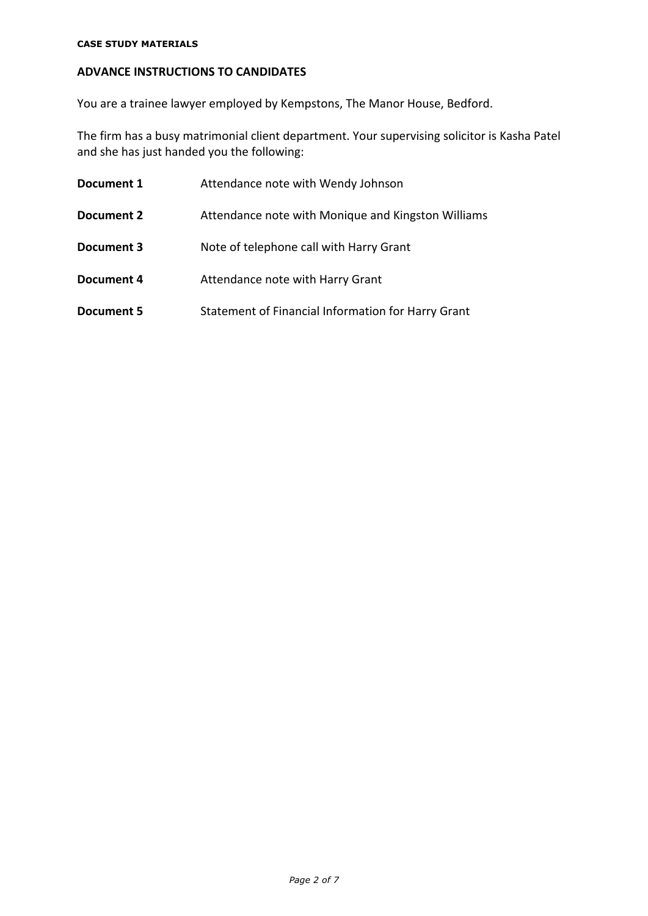#### **CASE STUDY MATERIALS**

# **ADVANCE INSTRUCTIONS TO CANDIDATES**

You are a trainee lawyer employed by Kempstons, The Manor House, Bedford.

The firm has a busy matrimonial client department. Your supervising solicitor is Kasha Patel and she has just handed you the following:

| Document 1 | Attendance note with Wendy Johnson                 |  |
|------------|----------------------------------------------------|--|
| Document 2 | Attendance note with Monique and Kingston Williams |  |
| Document 3 | Note of telephone call with Harry Grant            |  |
| Document 4 | Attendance note with Harry Grant                   |  |
| Document 5 | Statement of Financial Information for Harry Grant |  |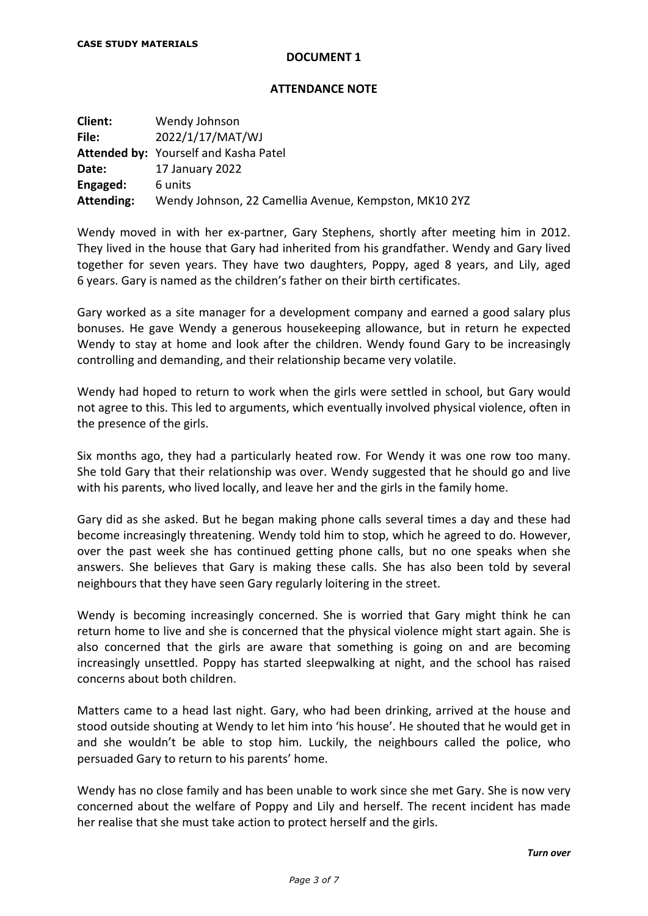#### **ATTENDANCE NOTE**

| Client:    | Wendy Johnson                                         |
|------------|-------------------------------------------------------|
| File:      | 2022/1/17/MAT/WJ                                      |
|            | Attended by: Yourself and Kasha Patel                 |
| Date:      | 17 January 2022                                       |
| Engaged:   | 6 units                                               |
| Attending: | Wendy Johnson, 22 Camellia Avenue, Kempston, MK10 2YZ |

Wendy moved in with her ex-partner, Gary Stephens, shortly after meeting him in 2012. They lived in the house that Gary had inherited from his grandfather. Wendy and Gary lived together for seven years. They have two daughters, Poppy, aged 8 years, and Lily, aged 6 years. Gary is named as the children's father on their birth certificates.

Gary worked as a site manager for a development company and earned a good salary plus bonuses. He gave Wendy a generous housekeeping allowance, but in return he expected Wendy to stay at home and look after the children. Wendy found Gary to be increasingly controlling and demanding, and their relationship became very volatile.

Wendy had hoped to return to work when the girls were settled in school, but Gary would not agree to this. This led to arguments, which eventually involved physical violence, often in the presence of the girls.

Six months ago, they had a particularly heated row. For Wendy it was one row too many. She told Gary that their relationship was over. Wendy suggested that he should go and live with his parents, who lived locally, and leave her and the girls in the family home.

Gary did as she asked. But he began making phone calls several times a day and these had become increasingly threatening. Wendy told him to stop, which he agreed to do. However, over the past week she has continued getting phone calls, but no one speaks when she answers. She believes that Gary is making these calls. She has also been told by several neighbours that they have seen Gary regularly loitering in the street.

Wendy is becoming increasingly concerned. She is worried that Gary might think he can return home to live and she is concerned that the physical violence might start again. She is also concerned that the girls are aware that something is going on and are becoming increasingly unsettled. Poppy has started sleepwalking at night, and the school has raised concerns about both children.

Matters came to a head last night. Gary, who had been drinking, arrived at the house and stood outside shouting at Wendy to let him into 'his house'. He shouted that he would get in and she wouldn't be able to stop him. Luckily, the neighbours called the police, who persuaded Gary to return to his parents' home.

Wendy has no close family and has been unable to work since she met Gary. She is now very concerned about the welfare of Poppy and Lily and herself. The recent incident has made her realise that she must take action to protect herself and the girls.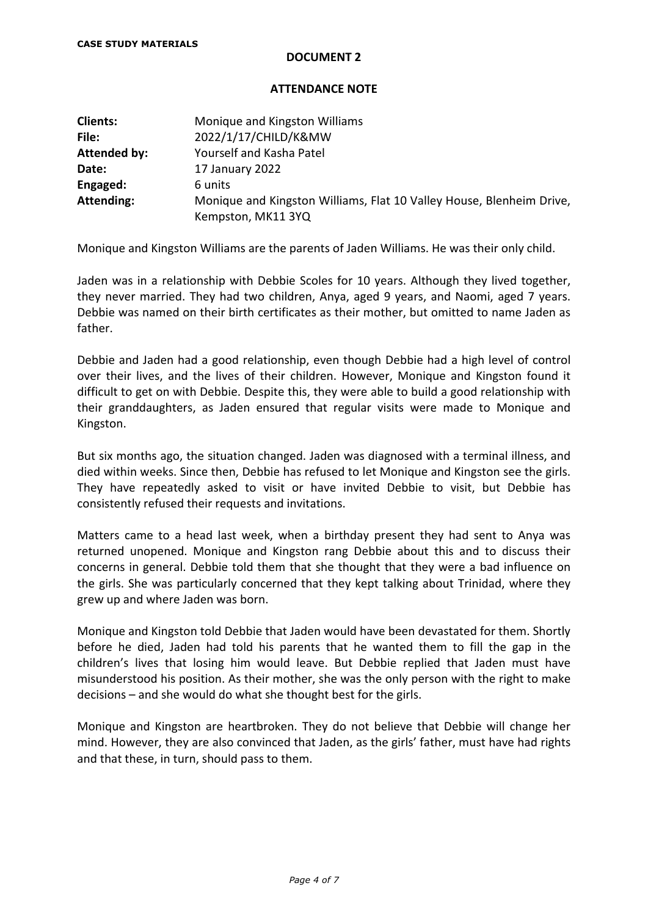### **ATTENDANCE NOTE**

| <b>Clients:</b>     | Monique and Kingston Williams                                        |  |  |
|---------------------|----------------------------------------------------------------------|--|--|
| File:               | 2022/1/17/CHILD/K&MW                                                 |  |  |
| <b>Attended by:</b> | Yourself and Kasha Patel                                             |  |  |
| Date:               | 17 January 2022                                                      |  |  |
| Engaged:            | 6 units                                                              |  |  |
| Attending:          | Monique and Kingston Williams, Flat 10 Valley House, Blenheim Drive, |  |  |
|                     | Kempston, MK11 3YQ                                                   |  |  |

Monique and Kingston Williams are the parents of Jaden Williams. He was their only child.

Jaden was in a relationship with Debbie Scoles for 10 years. Although they lived together, they never married. They had two children, Anya, aged 9 years, and Naomi, aged 7 years. Debbie was named on their birth certificates as their mother, but omitted to name Jaden as father.

Debbie and Jaden had a good relationship, even though Debbie had a high level of control over their lives, and the lives of their children. However, Monique and Kingston found it difficult to get on with Debbie. Despite this, they were able to build a good relationship with their granddaughters, as Jaden ensured that regular visits were made to Monique and Kingston.

But six months ago, the situation changed. Jaden was diagnosed with a terminal illness, and died within weeks. Since then, Debbie has refused to let Monique and Kingston see the girls. They have repeatedly asked to visit or have invited Debbie to visit, but Debbie has consistently refused their requests and invitations.

Matters came to a head last week, when a birthday present they had sent to Anya was returned unopened. Monique and Kingston rang Debbie about this and to discuss their concerns in general. Debbie told them that she thought that they were a bad influence on the girls. She was particularly concerned that they kept talking about Trinidad, where they grew up and where Jaden was born.

Monique and Kingston told Debbie that Jaden would have been devastated for them. Shortly before he died, Jaden had told his parents that he wanted them to fill the gap in the children's lives that losing him would leave. But Debbie replied that Jaden must have misunderstood his position. As their mother, she was the only person with the right to make decisions – and she would do what she thought best for the girls.

Monique and Kingston are heartbroken. They do not believe that Debbie will change her mind. However, they are also convinced that Jaden, as the girls' father, must have had rights and that these, in turn, should pass to them.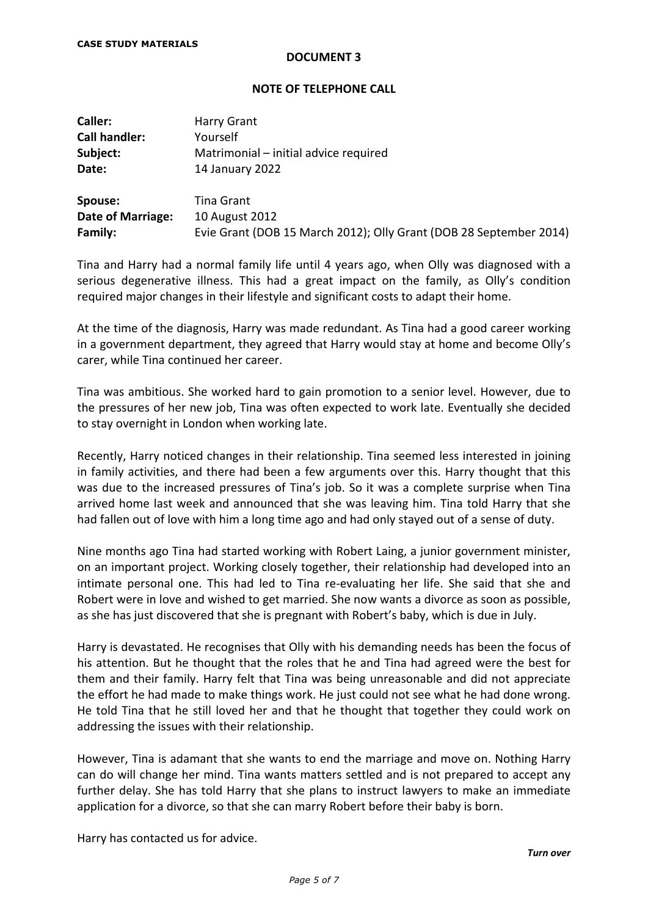### **NOTE OF TELEPHONE CALL**

| Caller:                  | Harry Grant                                                        |
|--------------------------|--------------------------------------------------------------------|
| <b>Call handler:</b>     | Yourself                                                           |
| Subject:                 | Matrimonial – initial advice required                              |
| Date:                    | 14 January 2022                                                    |
| Spouse:                  | Tina Grant                                                         |
| <b>Date of Marriage:</b> | 10 August 2012                                                     |
| Family:                  | Evie Grant (DOB 15 March 2012); Olly Grant (DOB 28 September 2014) |

Tina and Harry had a normal family life until 4 years ago, when Olly was diagnosed with a serious degenerative illness. This had a great impact on the family, as Olly's condition required major changes in their lifestyle and significant costs to adapt their home.

At the time of the diagnosis, Harry was made redundant. As Tina had a good career working in a government department, they agreed that Harry would stay at home and become Olly's carer, while Tina continued her career.

Tina was ambitious. She worked hard to gain promotion to a senior level. However, due to the pressures of her new job, Tina was often expected to work late. Eventually she decided to stay overnight in London when working late.

Recently, Harry noticed changes in their relationship. Tina seemed less interested in joining in family activities, and there had been a few arguments over this. Harry thought that this was due to the increased pressures of Tina's job. So it was a complete surprise when Tina arrived home last week and announced that she was leaving him. Tina told Harry that she had fallen out of love with him a long time ago and had only stayed out of a sense of duty.

Nine months ago Tina had started working with Robert Laing, a junior government minister, on an important project. Working closely together, their relationship had developed into an intimate personal one. This had led to Tina re-evaluating her life. She said that she and Robert were in love and wished to get married. She now wants a divorce as soon as possible, as she has just discovered that she is pregnant with Robert's baby, which is due in July.

Harry is devastated. He recognises that Olly with his demanding needs has been the focus of his attention. But he thought that the roles that he and Tina had agreed were the best for them and their family. Harry felt that Tina was being unreasonable and did not appreciate the effort he had made to make things work. He just could not see what he had done wrong. He told Tina that he still loved her and that he thought that together they could work on addressing the issues with their relationship.

However, Tina is adamant that she wants to end the marriage and move on. Nothing Harry can do will change her mind. Tina wants matters settled and is not prepared to accept any further delay. She has told Harry that she plans to instruct lawyers to make an immediate application for a divorce, so that she can marry Robert before their baby is born.

Harry has contacted us for advice.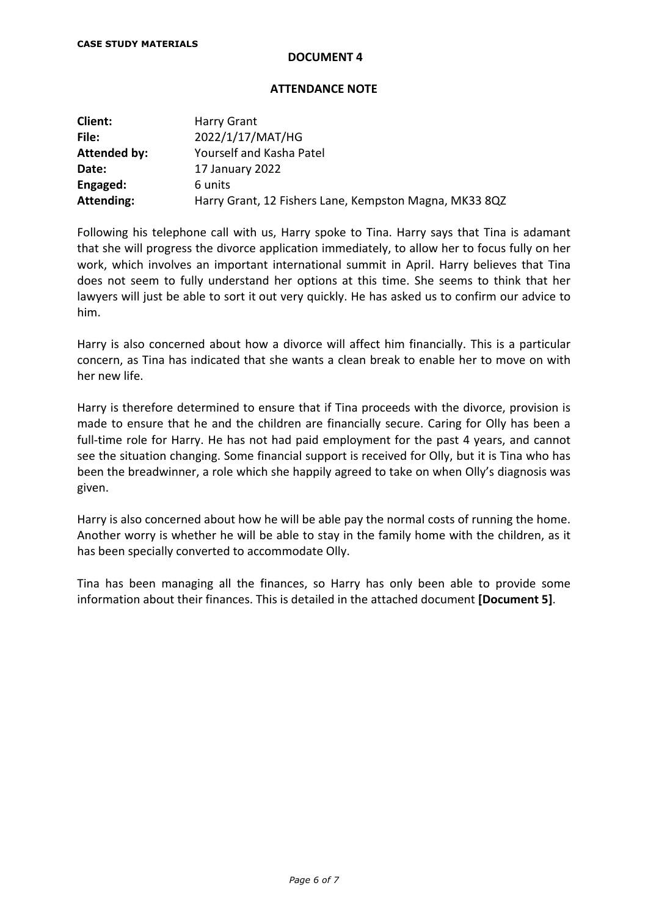#### **ATTENDANCE NOTE**

| Client:             | <b>Harry Grant</b>                                     |
|---------------------|--------------------------------------------------------|
| File:               | 2022/1/17/MAT/HG                                       |
| <b>Attended by:</b> | Yourself and Kasha Patel                               |
| Date:               | 17 January 2022                                        |
| Engaged:            | 6 units                                                |
| Attending:          | Harry Grant, 12 Fishers Lane, Kempston Magna, MK33 8QZ |

Following his telephone call with us, Harry spoke to Tina. Harry says that Tina is adamant that she will progress the divorce application immediately, to allow her to focus fully on her work, which involves an important international summit in April. Harry believes that Tina does not seem to fully understand her options at this time. She seems to think that her lawyers will just be able to sort it out very quickly. He has asked us to confirm our advice to him.

Harry is also concerned about how a divorce will affect him financially. This is a particular concern, as Tina has indicated that she wants a clean break to enable her to move on with her new life.

Harry is therefore determined to ensure that if Tina proceeds with the divorce, provision is made to ensure that he and the children are financially secure. Caring for Olly has been a full-time role for Harry. He has not had paid employment for the past 4 years, and cannot see the situation changing. Some financial support is received for Olly, but it is Tina who has been the breadwinner, a role which she happily agreed to take on when Olly's diagnosis was given.

Harry is also concerned about how he will be able pay the normal costs of running the home. Another worry is whether he will be able to stay in the family home with the children, as it has been specially converted to accommodate Olly.

Tina has been managing all the finances, so Harry has only been able to provide some information about their finances. This is detailed in the attached document **[Document 5]**.